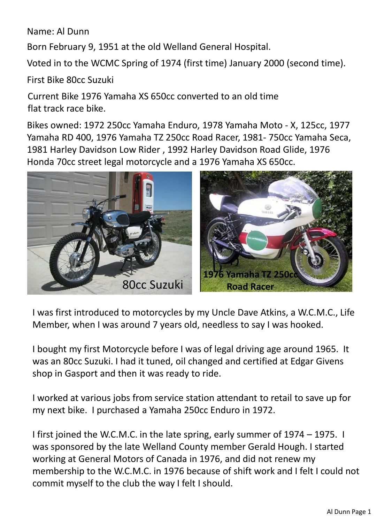Name: Al Dunn

Born February 9, 1951 at the old Welland General Hospital.

Voted in to the WCMC Spring of 1974 (first time) January 2000 (second time).

First Bike 80cc Suzuki

Current Bike 1976 Yamaha XS 650cc converted to an old time flat track race bike.

Bikes owned: 1972 250cc Yamaha Enduro, 1978 Yamaha Moto - X, 125cc, 1977 Yamaha RD 400, 1976 Yamaha TZ 250cc Road Racer, 1981- 750cc Yamaha Seca, 1981 Harley Davidson Low Rider , 1992 Harley Davidson Road Glide, 1976 Honda 70cc street legal motorcycle and a 1976 Yamaha XS 650cc.



I was first introduced to motorcycles by my Uncle Dave Atkins, a W.C.M.C., Life Member, when I was around 7 years old, needless to say I was hooked.

I bought my first Motorcycle before I was of legal driving age around 1965. It was an 80cc Suzuki. I had it tuned, oil changed and certified at Edgar Givens shop in Gasport and then it was ready to ride.

I worked at various jobs from service station attendant to retail to save up for my next bike. I purchased a Yamaha 250cc Enduro in 1972.

I first joined the W.C.M.C. in the late spring, early summer of 1974 – 1975. I was sponsored by the late Welland County member Gerald Hough. I started working at General Motors of Canada in 1976, and did not renew my membership to the W.C.M.C. in 1976 because of shift work and I felt I could not commit myself to the club the way I felt I should.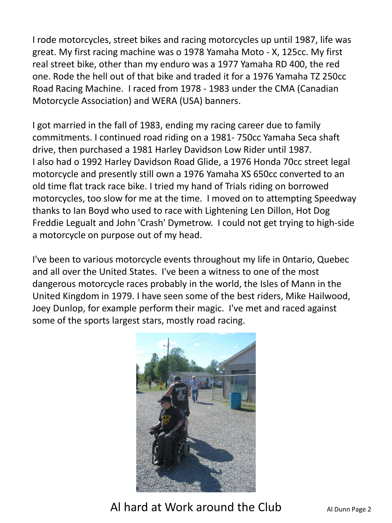I rode motorcycles, street bikes and racing motorcycles up until 1987, life was great. My first racing machine was o 1978 Yamaha Moto - X, 125cc. My first real street bike, other than my enduro was a 1977 Yamaha RD 400, the red one. Rode the hell out of that bike and traded it for a 1976 Yamaha TZ 250cc Road Racing Machine. I raced from 1978 - 1983 under the CMA (Canadian Motorcycle Association) and WERA (USA) banners.

I got married in the fall of 1983, ending my racing career due to family commitments. I continued road riding on a 1981- 750cc Yamaha Seca shaft drive, then purchased a 1981 Harley Davidson Low Rider until 1987. I also had o 1992 Harley Davidson Road Glide, a 1976 Honda 70cc street legal motorcycle and presently still own a 1976 Yamaha XS 650cc converted to an old time flat track race bike. I tried my hand of Trials riding on borrowed motorcycles, too slow for me at the time. I moved on to attempting Speedway thanks to Ian Boyd who used to race with Lightening Len Dillon, Hot Dog Freddie Legualt and John 'Crash' Dymetrow. I could not get trying to high-side a motorcycle on purpose out of my head.

I've been to various motorcycle events throughout my life in 0ntario, Quebec and all over the United States. I've been a witness to one of the most dangerous motorcycle races probably in the world, the Isles of Mann in the United Kingdom in 1979. I have seen some of the best riders, Mike Hailwood, Joey Dunlop, for example perform their magic. I've met and raced against some of the sports largest stars, mostly road racing.



Al hard at Work around the Club